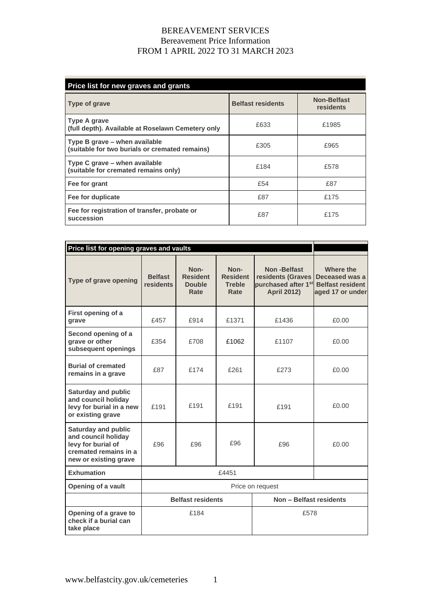## BEREAVEMENT SERVICES Bereavement Price Information FROM 1 APRIL 2022 TO 31 MARCH 2023

| Price list for new graves and grants                                            |                          |                                 |
|---------------------------------------------------------------------------------|--------------------------|---------------------------------|
| <b>Type of grave</b>                                                            | <b>Belfast residents</b> | <b>Non-Belfast</b><br>residents |
| <b>Type A grave</b><br>(full depth). Available at Roselawn Cemetery only        | £633                     | £1985                           |
| Type B grave - when available<br>(suitable for two burials or cremated remains) | £305                     | £965                            |
| Type C grave – when available<br>(suitable for cremated remains only)           | £184                     | £578                            |
| Fee for grant                                                                   | £54                      | £87                             |
| Fee for duplicate                                                               | £87                      | £175                            |
| Fee for registration of transfer, probate or<br>succession                      | £87                      | £175                            |

| Price list for opening graves and vaults                                                                                  |                             |                                                  |                                                  |                                                                                           |                                                                            |
|---------------------------------------------------------------------------------------------------------------------------|-----------------------------|--------------------------------------------------|--------------------------------------------------|-------------------------------------------------------------------------------------------|----------------------------------------------------------------------------|
| Type of grave opening                                                                                                     | <b>Belfast</b><br>residents | Non-<br><b>Resident</b><br><b>Double</b><br>Rate | Non-<br><b>Resident</b><br><b>Treble</b><br>Rate | Non-Belfast<br>residents (Graves<br>purchased after 1 <sup>st</sup><br><b>April 2012)</b> | Where the<br>Deceased was a<br><b>Belfast resident</b><br>aged 17 or under |
| First opening of a<br>grave                                                                                               | £457                        | £914                                             | £1371                                            | £1436                                                                                     | £0.00                                                                      |
| Second opening of a<br>grave or other<br>subsequent openings                                                              | £354                        | £708                                             | £1062                                            | £1107                                                                                     | £0.00                                                                      |
| <b>Burial of cremated</b><br>remains in a grave                                                                           | £87                         | £174                                             | £261                                             | £273                                                                                      | £0.00                                                                      |
| <b>Saturday and public</b><br>and council holiday<br>levy for burial in a new<br>or existing grave                        | £191                        | £191                                             | £191                                             | £191                                                                                      | £0.00                                                                      |
| <b>Saturday and public</b><br>and council holiday<br>levy for burial of<br>cremated remains in a<br>new or existing grave | £96                         | £96                                              | £96                                              | £96                                                                                       | £0.00                                                                      |
| <b>Exhumation</b>                                                                                                         | £4451                       |                                                  |                                                  |                                                                                           |                                                                            |
| Opening of a vault                                                                                                        | Price on request            |                                                  |                                                  |                                                                                           |                                                                            |
|                                                                                                                           | <b>Belfast residents</b>    |                                                  | Non - Belfast residents                          |                                                                                           |                                                                            |
| Opening of a grave to<br>check if a burial can<br>take place                                                              |                             | £184                                             |                                                  | £578                                                                                      |                                                                            |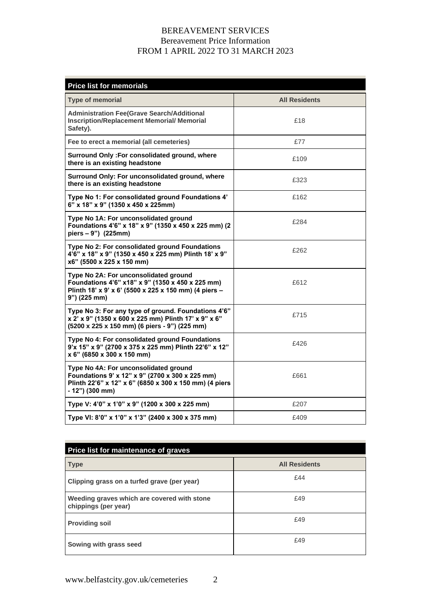## BEREAVEMENT SERVICES Bereavement Price Information FROM 1 APRIL 2022 TO 31 MARCH 2023

| <b>Price list for memorials</b>                                                                                                                                         |                      |  |
|-------------------------------------------------------------------------------------------------------------------------------------------------------------------------|----------------------|--|
| <b>Type of memorial</b>                                                                                                                                                 | <b>All Residents</b> |  |
| <b>Administration Fee(Grave Search/Additional</b><br><b>Inscription/Replacement Memorial/ Memorial</b><br>Safety).                                                      | £18                  |  |
| Fee to erect a memorial (all cemeteries)                                                                                                                                | £77                  |  |
| Surround Only: For consolidated ground, where<br>there is an existing headstone                                                                                         | £109                 |  |
| Surround Only: For unconsolidated ground, where<br>there is an existing headstone                                                                                       | £323                 |  |
| Type No 1: For consolidated ground Foundations 4'<br>6" x 18" x 9" (1350 x 450 x 225mm)                                                                                 | £162                 |  |
| Type No 1A: For unconsolidated ground<br>Foundations 4'6" x 18" x 9" (1350 x 450 x 225 mm) (2<br>piers - 9") (225mm)                                                    | £284                 |  |
| Type No 2: For consolidated ground Foundations<br>4'6" x 18" x 9" (1350 x 450 x 225 mm) Plinth 18' x 9"<br>x6" (5500 x 225 x 150 mm)                                    | £262                 |  |
| Type No 2A: For unconsolidated ground<br>Foundations 4'6" x18" x 9" (1350 x 450 x 225 mm)<br>Plinth 18' x 9' x 6' (5500 x 225 x 150 mm) (4 piers -<br>9") (225 mm)      | £612                 |  |
| Type No 3: For any type of ground. Foundations 4'6"<br>x 2' x 9" (1350 x 600 x 225 mm) Plinth 17' x 9" x 6"<br>(5200 x 225 x 150 mm) (6 piers - 9") (225 mm)            | £715                 |  |
| Type No 4: For consolidated ground Foundations<br>9'x 15" x 9" (2700 x 375 x 225 mm) Plinth 22'6" x 12"<br>x 6" (6850 x 300 x 150 mm)                                   | £426                 |  |
| Type No 4A: For unconsolidated ground<br>Foundations 9' x 12" x 9" (2700 x 300 x 225 mm)<br>Plinth 22'6" x 12" x 6" (6850 x 300 x 150 mm) (4 piers<br>$-12"$ ) (300 mm) | £661                 |  |
| Type V: 4'0" x 1'0" x 9" (1200 x 300 x 225 mm)                                                                                                                          | £207                 |  |
| Type VI: 8'0" x 1'0" x 1'3" (2400 x 300 x 375 mm)                                                                                                                       | £409                 |  |

| Price list for maintenance of graves                                |                      |  |
|---------------------------------------------------------------------|----------------------|--|
| <b>Type</b>                                                         | <b>All Residents</b> |  |
| Clipping grass on a turfed grave (per year)                         | £44                  |  |
| Weeding graves which are covered with stone<br>chippings (per year) | £49                  |  |
| <b>Providing soil</b>                                               | £49                  |  |
| Sowing with grass seed                                              | £49                  |  |